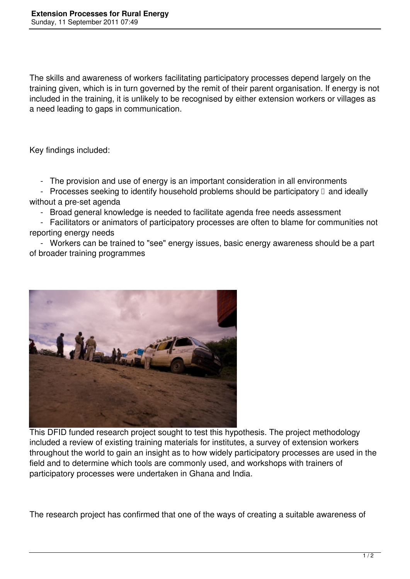The skills and awareness of workers facilitating participatory processes depend largely on the training given, which is in turn governed by the remit of their parent organisation. If energy is not included in the training, it is unlikely to be recognised by either extension workers or villages as a need leading to gaps in communication.

Key findings included:

- The provision and use of energy is an important consideration in all environments

- Processes seeking to identify household problems should be participatory  $\Box$  and ideally without a pre-set agenda

- Broad general knowledge is needed to facilitate agenda free needs assessment

 - Facilitators or animators of participatory processes are often to blame for communities not reporting energy needs

 - Workers can be trained to "see" energy issues, basic energy awareness should be a part of broader training programmes



This DFID funded research project sought to test this hypothesis. The project methodology included a review of existing training materials for institutes, a survey of extension workers throughout the world to gain an insight as to how widely participatory processes are used in the field and to determine which tools are commonly used, and workshops with trainers of participatory processes were undertaken in Ghana and India.

The research project has confirmed that one of the ways of creating a suitable awareness of